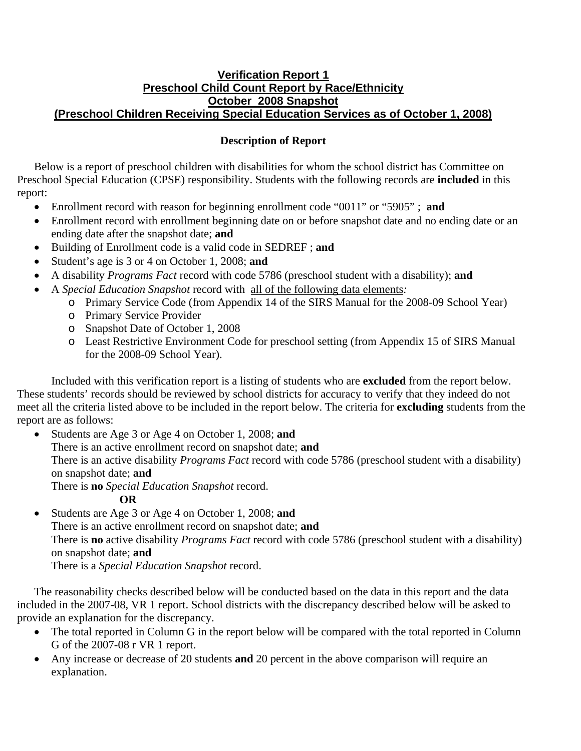## **Verification Report 1 Preschool Child Count Report by Race/Ethnicity October 2008 Snapshot (Preschool Children Receiving Special Education Services as of October 1, 2008)**

## **Description of Report**

Below is a report of preschool children with disabilities for whom the school district has Committee on Preschool Special Education (CPSE) responsibility. Students with the following records are **included** in this report:

- Enrollment record with reason for beginning enrollment code "0011" or "5905" ; **and**
- Enrollment record with enrollment beginning date on or before snapshot date and no ending date or an ending date after the snapshot date; **and**
- Building of Enrollment code is a valid code in SEDREF ; **and**
- Student's age is 3 or 4 on October 1, 2008; **and**
- A disability *Programs Fact* record with code 5786 (preschool student with a disability); **and**
- A *Special Education Snapshot* record with all of the following data elements*:*
	- o Primary Service Code (from Appendix 14 of the SIRS Manual for the 2008-09 School Year)
	- o Primary Service Provider
	- o Snapshot Date of October 1, 2008
	- o Least Restrictive Environment Code for preschool setting (from Appendix 15 of SIRS Manual for the 2008-09 School Year).

Included with this verification report is a listing of students who are **excluded** from the report below. These students' records should be reviewed by school districts for accuracy to verify that they indeed do not meet all the criteria listed above to be included in the report below. The criteria for **excluding** students from the report are as follows:

• Students are Age 3 or Age 4 on October 1, 2008; **and** There is an active enrollment record on snapshot date; **and** There is an active disability *Programs Fact* record with code 5786 (preschool student with a disability) on snapshot date; **and** There is **no** *Special Education Snapshot* record.

**OR** 

• Students are Age 3 or Age 4 on October 1, 2008; **and**  There is an active enrollment record on snapshot date; **and**  There is **no** active disability *Programs Fact* record with code 5786 (preschool student with a disability) on snapshot date; **and** There is a *Special Education Snapshot* record.

The reasonability checks described below will be conducted based on the data in this report and the data included in the 2007-08, VR 1 report. School districts with the discrepancy described below will be asked to provide an explanation for the discrepancy.

- The total reported in Column G in the report below will be compared with the total reported in Column G of the 2007-08 r VR 1 report.
- Any increase or decrease of 20 students **and** 20 percent in the above comparison will require an explanation.